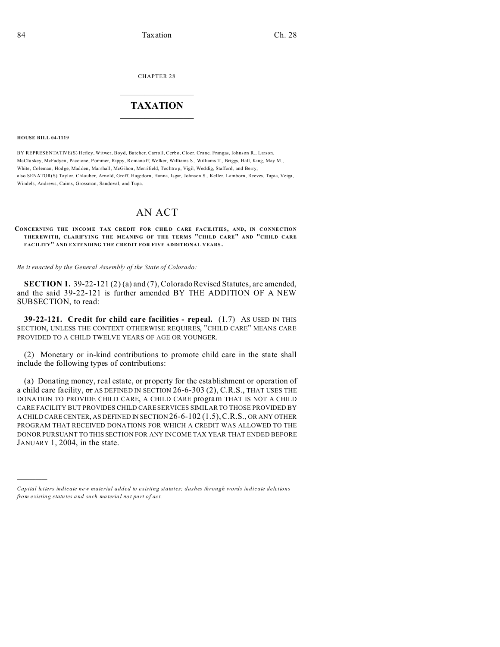CHAPTER 28  $\overline{\phantom{a}}$  , where  $\overline{\phantom{a}}$ 

## **TAXATION**  $\_$

**HOUSE BILL 04-1119**

)))))

BY REPRESENTATIVE(S) Hefley, Witwer, Boyd, Butcher, Carroll, Cerbo, Cloer, Crane, Frangas, Johnson R., Larson, McClu skey, McFadyen, Paccione, Pommer, Rippy, Romanoff, Welker, Williams S., Williams T., Briggs, Hall, King, May M., White, Coleman, Hodge, Madden, Marshall, McGihon, Merrifield, Tochtrop, Vigil, Weddig, Stafford, and Berry; also SENATOR(S) Taylor, Chlouber, Arnold, Groff, Hagedorn, Hanna, Isgar, Johnson S., Keller, Lamborn, Reeves, Tapia, Veiga, Windels, Andrews, Cairns, Grossman, Sandoval, and Tupa.

## AN ACT

**CONCERNING THE INCOME TAX CREDIT FOR CHILD CARE FACILITIES, AND, IN CONNECTION THER EWITH, CLARIFYING THE MEANING OF THE TERMS "CHILD CARE" AND "CHILD CARE FAC ILITY" AND EXTENDING THE CREDIT FOR FIVE ADDITIONAL YEARS .**

*Be it enacted by the General Assembly of the State of Colorado:*

**SECTION 1.** 39-22-121 (2) (a) and (7), Colorado Revised Statutes, are amended, and the said 39-22-121 is further amended BY THE ADDITION OF A NEW SUBSECTION, to read:

**39-22-121. Credit for child care facilities - repeal.** (1.7) AS USED IN THIS SECTION, UNLESS THE CONTEXT OTHERWISE REQUIRES, "CHILD CARE" MEANS CARE PROVIDED TO A CHILD TWELVE YEARS OF AGE OR YOUNGER.

(2) Monetary or in-kind contributions to promote child care in the state shall include the following types of contributions:

(a) Donating money, real estate, or property for the establishment or operation of a child care facility, or AS DEFINED IN SECTION 26-6-303 (2), C.R.S., THAT USES THE DONATION TO PROVIDE CHILD CARE, A CHILD CARE program THAT IS NOT A CHILD CARE FACILITY BUT PROVIDES CHILD CARE SERVICES SIMILAR TO THOSE PROVIDED BY A CHILD CARE CENTER, AS DEFINED IN SECTION 26-6-102 (1.5),C.R.S., OR ANY OTHER PROGRAM THAT RECEIVED DONATIONS FOR WHICH A CREDIT WAS ALLOWED TO THE DONOR PURSUANT TO THIS SECTION FOR ANY INCOME TAX YEAR THAT ENDED BEFORE JANUARY 1, 2004, in the state.

*Capital letters indicate new material added to existing statutes; dashes through words indicate deletions from e xistin g statu tes a nd such ma teria l no t pa rt of ac t.*